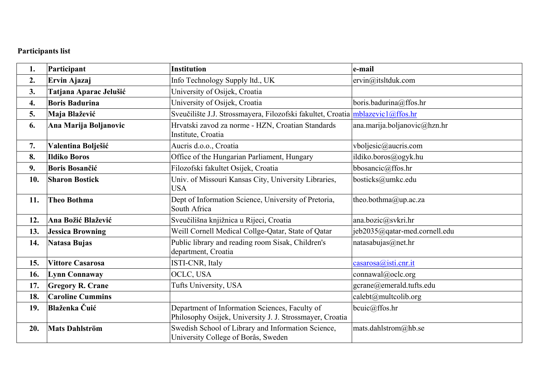## **Participants list**

| 1.  | Participant             | <b>Institution</b>                                                                                         | e-mail                        |
|-----|-------------------------|------------------------------------------------------------------------------------------------------------|-------------------------------|
| 2.  | Ervin Ajazaj            | Info Technology Supply ltd., UK                                                                            | ervin@itsltduk.com            |
| 3.  | Tatjana Aparac Jelušić  | University of Osijek, Croatia                                                                              |                               |
| 4.  | <b>Boris Badurina</b>   | University of Osijek, Croatia                                                                              | boris.badurina@ffos.hr        |
| 5.  | Maja Blažević           | Sveučilište J.J. Strossmayera, Filozofski fakultet, Croatia mblazevic1@ffos.hr                             |                               |
| 6.  | Ana Marija Boljanovic   | Hrvatski zavod za norme - HZN, Croatian Standards<br>Institute, Croatia                                    | ana.marija.boljanovic@hzn.hr  |
| 7.  | Valentina Bolješić      | Aucris d.o.o., Croatia                                                                                     | vboljesic@aucris.com          |
| 8.  | <b>Ildiko Boros</b>     | Office of the Hungarian Parliament, Hungary                                                                | ildiko.boros@ogyk.hu          |
| 9.  | <b>Boris Bosančić</b>   | Filozofski fakultet Osijek, Croatia                                                                        | bbosancic@ffos.hr             |
| 10. | <b>Sharon Bostick</b>   | Univ. of Missouri Kansas City, University Libraries,<br><b>USA</b>                                         | bosticks@umkc.edu             |
| 11. | <b>Theo Bothma</b>      | Dept of Information Science, University of Pretoria,<br>South Africa                                       | theo.bothma@up.ac.za          |
| 12. | Ana Božić Blažević      | Sveučilišna knjižnica u Rijeci, Croatia                                                                    | ana.bozic@svkri.hr            |
| 13. | <b>Jessica Browning</b> | Weill Cornell Medical Collge-Qatar, State of Qatar                                                         | jeb2035@qatar-med.cornell.edu |
| 14. | <b>Natasa Bujas</b>     | Public library and reading room Sisak, Children's<br>department, Croatia                                   | natasabujas@net.hr            |
| 15. | <b>Vittore Casarosa</b> | ISTI-CNR, Italy                                                                                            | casarosa@isti.cnr.it          |
| 16. | <b>Lynn Connaway</b>    | OCLC, USA                                                                                                  | connawal@oclc.org             |
| 17. | <b>Gregory R. Crane</b> | Tufts University, USA                                                                                      | gcrane@emerald.tufts.edu      |
| 18. | <b>Caroline Cummins</b> |                                                                                                            | calebt@multcolib.org          |
| 19. | Blaženka Čuić           | Department of Information Sciences, Faculty of<br>Philosophy Osijek, University J. J. Strossmayer, Croatia | bcuic@ffos.hr                 |
| 20. | <b>Mats Dahlström</b>   | Swedish School of Library and Information Science,<br>University College of Borås, Sweden                  | mats.dahlstrom@hb.se          |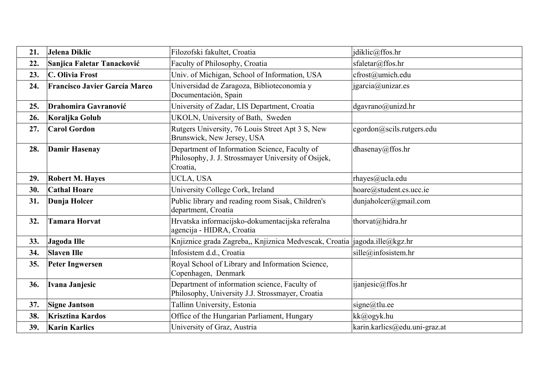| 21. | Jelena Diklic                        | Filozofski fakultet, Croatia                                                                                     | jdiklic@ffos.hr               |
|-----|--------------------------------------|------------------------------------------------------------------------------------------------------------------|-------------------------------|
| 22. | Sanjica Faletar Tanacković           | Faculty of Philosophy, Croatia                                                                                   | sfaletar@ffos.hr              |
| 23. | C. Olivia Frost                      | Univ. of Michigan, School of Information, USA                                                                    | cfrost@umich.edu              |
| 24. | <b>Francisco Javier García Marco</b> | Universidad de Zaragoza, Biblioteconomía y<br>Documentación, Spain                                               | jgarcia@unizar.es             |
| 25. | <b>Drahomira Gavranović</b>          | University of Zadar, LIS Department, Croatia                                                                     | dgavrano@unizd.hr             |
| 26. | Koraljka Golub                       | UKOLN, University of Bath, Sweden                                                                                |                               |
| 27. | <b>Carol Gordon</b>                  | Rutgers University, 76 Louis Street Apt 3 S, New<br>Brunswick, New Jersey, USA                                   | cgordon@scils.rutgers.edu     |
| 28. | <b>Damir Hasenay</b>                 | Department of Information Science, Faculty of<br>Philosophy, J. J. Strossmayer University of Osijek,<br>Croatia, | dhasenay@ffos.hr              |
| 29. | <b>Robert M. Hayes</b>               | UCLA, USA                                                                                                        | rhayes@ucla.edu               |
| 30. | <b>Cathal Hoare</b>                  | University College Cork, Ireland                                                                                 | hoare@student.cs.ucc.ie       |
| 31. | Dunja Holcer                         | Public library and reading room Sisak, Children's<br>department, Croatia                                         | $d$ unjaholcer@gmail.com      |
| 32. | <b>Tamara Horvat</b>                 | Hrvatska informacijsko-dokumentacijska referalna<br>agencija - HIDRA, Croatia                                    | thorvat@hidra.hr              |
| 33. | Jagoda Ille                          | Knjiznice grada Zagreba,, Knjiznica Medvescak, Croatia  jagoda.ille@kgz.hr                                       |                               |
| 34. | <b>Slaven Ille</b>                   | Infosistem d.d., Croatia                                                                                         | sille@infosistem.hr           |
| 35. | <b>Peter Ingwersen</b>               | Royal School of Library and Information Science,<br>Copenhagen, Denmark                                          |                               |
| 36. | Ivana Janjesic                       | Department of information science, Faculty of<br>Philosophy, University J.J. Strossmayer, Croatia                | ijanjesic@ffos.hr             |
| 37. | <b>Signe Jantson</b>                 | Tallinn University, Estonia                                                                                      | signe@tlu.ee                  |
| 38. | <b>Krisztina Kardos</b>              | Office of the Hungarian Parliament, Hungary                                                                      | kk@ogyk.hu                    |
| 39. | <b>Karin Karlics</b>                 | University of Graz, Austria                                                                                      | karin.karlics@edu.uni-graz.at |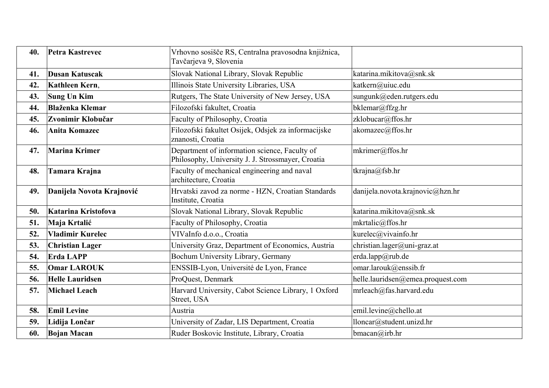| 40. | Petra Kastrevec           | Vrhovno sosišče RS, Centralna pravosodna knjižnica,<br>Tavčarjeva 9, Slovenia                      |                                   |
|-----|---------------------------|----------------------------------------------------------------------------------------------------|-----------------------------------|
| 41. | <b>Dusan Katuscak</b>     | Slovak National Library, Slovak Republic                                                           | katarina.mikitova@snk.sk          |
| 42. | Kathleen Kern,            | Illinois State University Libraries, USA                                                           | katkern@uiuc.edu                  |
| 43. | <b>Sung Un Kim</b>        | Rutgers, The State University of New Jersey, USA                                                   | sungunk@eden.rutgers.edu          |
| 44. | <b>Blaženka Klemar</b>    | Filozofski fakultet, Croatia                                                                       | bklemar@ffzg.hr                   |
| 45. | Zvonimir Klobučar         | Faculty of Philosophy, Croatia                                                                     | zklobucar@ffos.hr                 |
| 46. | <b>Anita Komazec</b>      | Filozofski fakultet Osijek, Odsjek za informacijske<br>znanosti, Croatia                           | akomazec@ffos.hr                  |
| 47. | <b>Marina Krimer</b>      | Department of information science, Faculty of<br>Philosophy, University J. J. Strossmayer, Croatia | mkrimer@ffos.hr                   |
| 48. | <b>Tamara Krajna</b>      | Faculty of mechanical engineering and naval<br>architecture, Croatia                               | tkrajna@fsb.hr                    |
| 49. | Danijela Novota Krajnović | Hrvatski zavod za norme - HZN, Croatian Standards<br>Institute, Croatia                            | danijela.novota.krajnovic@hzn.hr  |
| 50. | Katarina Kristofova       | Slovak National Library, Slovak Republic                                                           | katarina.mikitova@snk.sk          |
| 51. | Maja Krtalić              | Faculty of Philosophy, Croatia                                                                     | mkrtalic@ffos.hr                  |
| 52. | <b>Vladimir Kurelec</b>   | VIVaInfo d.o.o., Croatia                                                                           | kurelec@vivainfo.hr               |
| 53. | <b>Christian Lager</b>    | University Graz, Department of Economics, Austria                                                  | christian.lager@uni-graz.at       |
| 54. | Erda LAPP                 | Bochum University Library, Germany                                                                 | erda.lapp@rub.de                  |
| 55. | <b>Omar LAROUK</b>        | ENSSIB-Lyon, Université de Lyon, France                                                            | omar.larouk@enssib.fr             |
| 56. | <b>Helle Lauridsen</b>    | ProQuest, Denmark                                                                                  | helle.lauridsen@emea.proquest.com |
| 57. | <b>Michael Leach</b>      | Harvard University, Cabot Science Library, 1 Oxford<br>Street, USA                                 | mrleach@fas.harvard.edu           |
| 58. | <b>Emil Levine</b>        | Austria                                                                                            | emil.levine@chello.at             |
| 59. | Lidija Lončar             | University of Zadar, LIS Department, Croatia                                                       | lloncar@student.unizd.hr          |
| 60. | <b>Bojan Macan</b>        | Ruder Boskovic Institute, Library, Croatia                                                         | bmacan@irb.hr                     |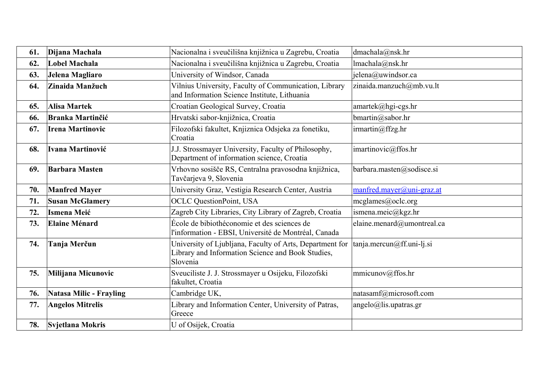| 61. | Dijana Machala                 | Nacionalna i sveučilišna knjižnica u Zagrebu, Croatia                                                                     | dmachala@nsk.hr                  |
|-----|--------------------------------|---------------------------------------------------------------------------------------------------------------------------|----------------------------------|
| 62. | <b>Lobel Machala</b>           | Nacionalna i sveučilišna knjižnica u Zagrebu, Croatia                                                                     | lmachala@nsk.htm                 |
| 63. | Jelena Magliaro                | University of Windsor, Canada                                                                                             | jelena@uwindsor.ca               |
| 64. | Zinaida Manžuch                | Vilnius University, Faculty of Communication, Library<br>and Information Science Institute, Lithuania                     | zinaida.manzuch@mb.vu.lt         |
| 65. | <b>Alisa Martek</b>            | Croatian Geological Survey, Croatia                                                                                       | amartek@hgi-cgs.hr               |
| 66. | <b>Branka Martinčić</b>        | Hrvatski sabor-knjižnica, Croatia                                                                                         | bmartin@sabor.hr                 |
| 67. | <b>Irena Martinovic</b>        | Filozofski fakultet, Knjiznica Odsjeka za fonetiku,<br>Croatia                                                            | irmartin@ffzg/hr                 |
| 68. | Ivana Martinović               | J.J. Strossmayer University, Faculty of Philosophy,<br>Department of information science, Croatia                         | imartinovic@ffos.hr              |
| 69. | <b>Barbara Masten</b>          | Vrhovno sosišče RS, Centralna pravosodna knjižnica,<br>Tavčarjeva 9, Slovenia                                             | barbara.masten@sodisce.si        |
| 70. | <b>Manfred Mayer</b>           | University Graz, Vestigia Research Center, Austria                                                                        | $mantred.maxer@uni-graz.at$      |
| 71. | <b>Susan McGlamery</b>         | <b>OCLC QuestionPoint, USA</b>                                                                                            | mcglames@oclc.org                |
| 72. | <b>Ismena Meić</b>             | Zagreb City Libraries, City Library of Zagreb, Croatia                                                                    | ismena.meic@kgz.hr               |
| 73. | <b>Elaine Ménard</b>           | École de bibiothéconomie et des sciences de<br>l'information - EBSI, Université de Montréal, Canada                       | elaine.menard@umontreal.ca       |
| 74. | Tanja Merčun                   | University of Ljubljana, Faculty of Arts, Department for<br>Library and Information Science and Book Studies,<br>Slovenia | $tanja$ .mercun $@ff$ .uni-lj.si |
| 75. | Milijana Micunovic             | Sveuciliste J. J. Strossmayer u Osijeku, Filozofski<br>fakultet, Croatia                                                  | mmicunov@ffos.hr                 |
| 76. | <b>Natasa Milic - Frayling</b> | Cambridge UK,                                                                                                             | natasamf@microsoft.com           |
| 77. | <b>Angelos Mitrelis</b>        | Library and Information Center, University of Patras,<br>Greece                                                           | $angle@$ lis.upatras.gr          |
| 78. | Svjetlana Mokris               | U of Osijek, Croatia                                                                                                      |                                  |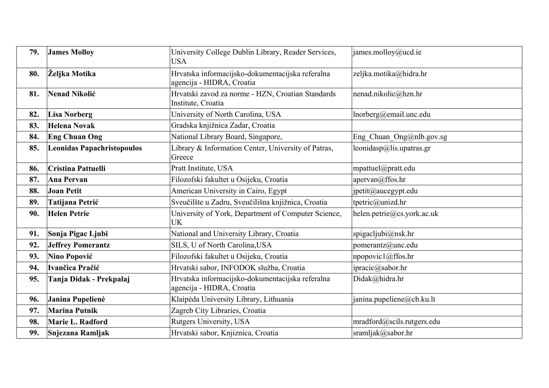| 79. | <b>James Molloy</b>               | University College Dublin Library, Reader Services,<br><b>USA</b>             | james.molloy@ucd.ie        |
|-----|-----------------------------------|-------------------------------------------------------------------------------|----------------------------|
| 80. | Željka Motika                     | Hrvatska informacijsko-dokumentacijska referalna<br>agencija - HIDRA, Croatia | zeljka.motika@hidra.hr     |
| 81. | <b>Nenad Nikolić</b>              | Hrvatski zavod za norme - HZN, Croatian Standards<br>Institute, Croatia       | nenad.nikolic@hzn.hr       |
| 82. | <b>Lisa Norberg</b>               | University of North Carolina, USA                                             | lnorberg@email.unc.edu     |
| 83. | <b>Helena Novak</b>               | Gradska knjižnica Zadar, Croatia                                              |                            |
| 84. | <b>Eng Chuan Ong</b>              | National Library Board, Singapore,                                            | Eng_Chuan_Ong@nlb.gov.sg   |
| 85. | <b>Leonidas Papachristopoulos</b> | Library & Information Center, University of Patras,<br>Greece                 | leonidasp@lis.upatras.gr   |
| 86. | <b>Cristina Pattuelli</b>         | Pratt Institute, USA                                                          | mpattuel@pratt.edu         |
| 87. | <b>Ana Pervan</b>                 | Filozofski fakultet u Osijeku, Croatia                                        | apervan@ffos.hr            |
| 88. | <b>Joan Petit</b>                 | American University in Cairo, Egypt                                           | jpetit@aucegypt.edu        |
| 89. | Tatijana Petrić                   | Sveučilšte u Zadru, Sveučilišna knjižnica, Croatia                            | tpetric@unizd.hr           |
| 90. | <b>Helen Petrie</b>               | University of York, Department of Computer Science,<br><b>UK</b>              | helen.petrie@cs.york.ac.uk |
| 91. | Sonja Pigac Ljubi                 | National and University Library, Croatia                                      | spigacljubi@nsk.hr         |
| 92. | <b>Jeffrey Pomerantz</b>          | SILS, U of North Carolina, USA                                                | pomerantz@unc.edu          |
| 93. | Nino Popović                      | Filozofski fakultet u Osijeku, Croatia                                        | npopovic1@ffos.hr          |
| 94. | Ivančica Pračić                   | Hrvatski sabor, INFODOK služba, Croatia                                       | ipracic@sabor.hr           |
| 95. | Tanja Didak - Prekpalaj           | Hrvatska informacijsko-dokumentacijska referalna<br>agencija - HIDRA, Croatia | Didak@hidra.hr             |
| 96. | Janina Pupelienė                  | Klaipėda University Library, Lithuania                                        | janina.pupeliene@cb.ku.lt  |
| 97. | <b>Marina Putnik</b>              | Zagreb City Libraries, Croatia                                                |                            |
| 98. | Marie L. Radford                  | Rutgers University, USA                                                       | mradford@scils.rutgers.edu |
| 99. | Snjezana Ramljak                  | Hrvatski sabor, Knjiznica, Croatia                                            | sramljak@sabor.hr          |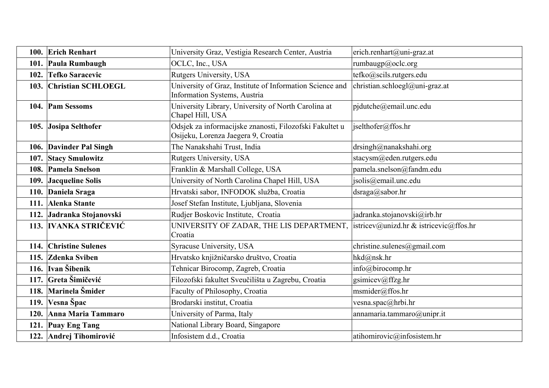| 100. Erich Renhart        | University Graz, Vestigia Research Center, Austria                                             | erich.renhart@uni-graz.at              |
|---------------------------|------------------------------------------------------------------------------------------------|----------------------------------------|
| 101. Paula Rumbaugh       | OCLC, Inc., USA                                                                                | rumbaugp@oclc.org                      |
| 102. Tefko Saracevic      | Rutgers University, USA                                                                        | tefko@scils.rutgers.edu                |
| 103. Christian SCHLOEGL   | University of Graz, Institute of Information Science and<br>Information Systems, Austria       | christian.schloegl@uni-graz.at         |
| 104. Pam Sessoms          | University Library, University of North Carolina at<br>Chapel Hill, USA                        | pjdutche@email.unc.edu                 |
| 105. Josipa Selthofer     | Odsjek za informacijske znanosti, Filozofski Fakultet u<br>Osijeku, Lorenza Jaegera 9, Croatia | jselthofer@ffos.hr                     |
| 106. Davinder Pal Singh   | The Nanakshahi Trust, India                                                                    | drsingh@nanakshahi.org                 |
| 107. Stacy Smulowitz      | Rutgers University, USA                                                                        | stacysm@eden.rutgers.edu               |
| 108. Pamela Snelson       | Franklin & Marshall College, USA                                                               | pamela.snelson@fandm.edu               |
| 109. Jacqueline Solis     | University of North Carolina Chapel Hill, USA                                                  | jsolis@email.unc.edu                   |
| 110. Daniela Sraga        | Hrvatski sabor, INFODOK služba, Croatia                                                        | dsraga@sabor.hr                        |
| 111. Alenka Stante        | Josef Stefan Institute, Ljubljana, Slovenia                                                    |                                        |
| 112. Jadranka Stojanovski | Rudjer Boskovic Institute, Croatia                                                             | jadranka.stojanovski@irb.hr            |
| 113. IVANKA STRIČEVIĆ     | UNIVERSITY OF ZADAR, THE LIS DEPARTMENT,<br>Croatia                                            | istricev@unizd.hr & istricevic@ffos.hr |
| 114. Christine Sulenes    | Syracuse University, USA                                                                       | christine.sulenes@gmail.com            |
| 115. Zdenka Sviben        | Hrvatsko knjižničarsko društvo, Croatia                                                        | hkd@nsk.hr                             |
| 116. Ivan Šibenik         | Tehnicar Birocomp, Zagreb, Croatia                                                             | info@birocomp.hr                       |
| 117. Greta Šimičević      | Filozofski fakultet Sveučilišta u Zagrebu, Croatia                                             | gsimicev@ffzg.hr                       |
| 118. Marinela Šmider      | Faculty of Philosophy, Croatia                                                                 | msmider@ffos.hr                        |
| 119. Vesna Špac           | Brodarski institut, Croatia                                                                    | vesna.spac@hrbi.hr                     |
| 120. Anna Maria Tammaro   | University of Parma, Italy                                                                     | annamaria.tammaro@unipr.it             |
| 121. Puay Eng Tang        | National Library Board, Singapore                                                              |                                        |
| 122. Andrej Tihomirović   | Infosistem d.d., Croatia                                                                       | atihomirovic@infosistem.hr             |